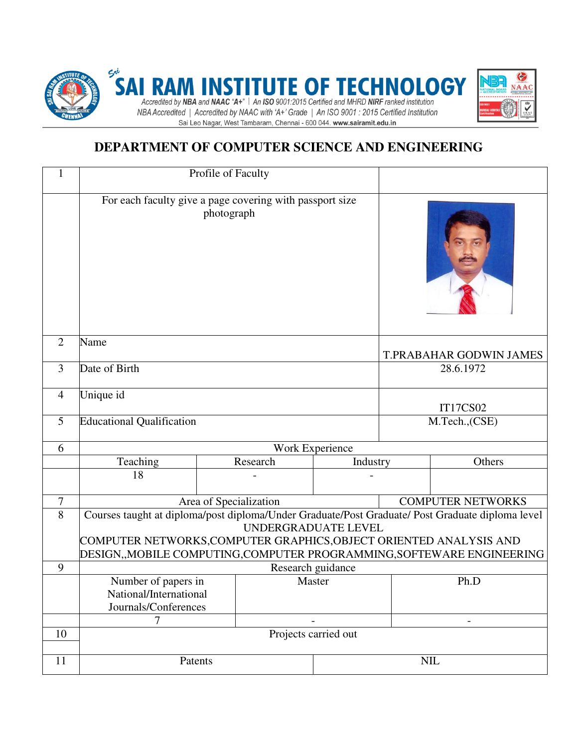

# **DEPARTMENT OF COMPUTER SCIENCE AND ENGINEERING**

| 1              | Profile of Faculty                                                                                                                                                                                                                                                   |          |        |                |                         |                          |
|----------------|----------------------------------------------------------------------------------------------------------------------------------------------------------------------------------------------------------------------------------------------------------------------|----------|--------|----------------|-------------------------|--------------------------|
|                | For each faculty give a page covering with passport size<br>photograph                                                                                                                                                                                               |          |        |                |                         |                          |
| 2              | Name                                                                                                                                                                                                                                                                 |          |        |                | T.PRABAHAR GODWIN JAMES |                          |
| 3              | Date of Birth                                                                                                                                                                                                                                                        |          |        |                | 28.6.1972               |                          |
| $\overline{4}$ | Unique id                                                                                                                                                                                                                                                            |          |        |                | <b>IT17CS02</b>         |                          |
| 5              | <b>Educational Qualification</b>                                                                                                                                                                                                                                     |          |        |                | M.Tech., (CSE)          |                          |
| 6              | Work Experience                                                                                                                                                                                                                                                      |          |        |                |                         |                          |
|                | Teaching                                                                                                                                                                                                                                                             | Research |        | Industry       | Others                  |                          |
|                | 18                                                                                                                                                                                                                                                                   |          |        |                |                         |                          |
| 7              | Area of Specialization                                                                                                                                                                                                                                               |          |        |                |                         | <b>COMPUTER NETWORKS</b> |
| $\overline{8}$ | Courses taught at diploma/post diploma/Under Graduate/Post Graduate/ Post Graduate diploma level<br>UNDERGRADUATE LEVEL<br>COMPUTER NETWORKS, COMPUTER GRAPHICS, OBJECT ORIENTED ANALYSIS AND<br>DESIGN,,MOBILE COMPUTING,COMPUTER PROGRAMMING,SOFTEWARE ENGINEERING |          |        |                |                         |                          |
| 9              | Research guidance                                                                                                                                                                                                                                                    |          |        |                |                         |                          |
|                | Number of papers in                                                                                                                                                                                                                                                  |          | Master |                |                         | Ph.D                     |
|                | National/International                                                                                                                                                                                                                                               |          |        |                |                         |                          |
|                | Journals/Conferences                                                                                                                                                                                                                                                 |          |        |                |                         |                          |
|                | 7                                                                                                                                                                                                                                                                    |          |        | $\overline{a}$ |                         |                          |
| 10             | Projects carried out                                                                                                                                                                                                                                                 |          |        |                |                         |                          |
| 11             | Patents                                                                                                                                                                                                                                                              |          |        | NIL            |                         |                          |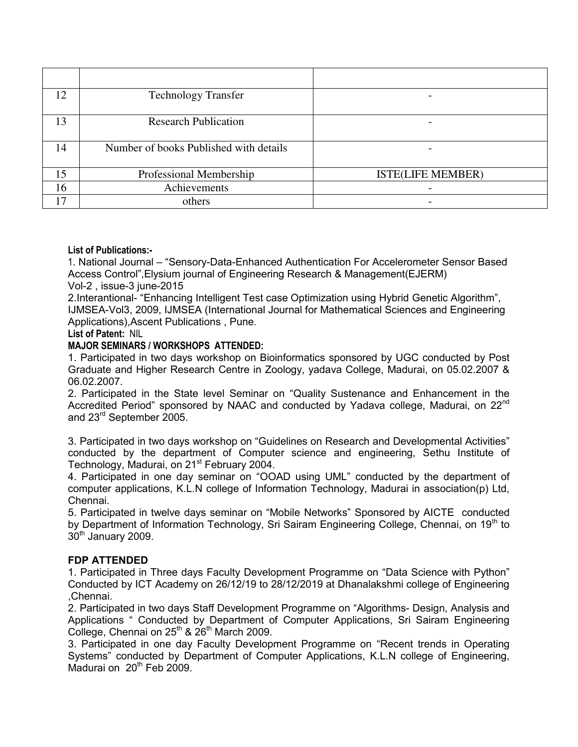| 12 | <b>Technology Transfer</b>             |                          |  |  |
|----|----------------------------------------|--------------------------|--|--|
| 13 | <b>Research Publication</b>            |                          |  |  |
| 14 | Number of books Published with details |                          |  |  |
| 15 | Professional Membership                | <b>ISTE(LIFE MEMBER)</b> |  |  |
| 16 | Achievements                           | $\overline{\phantom{0}}$ |  |  |
| 17 | others                                 |                          |  |  |

#### **List of Publications:-**

1. National Journal – "Sensory-Data-Enhanced Authentication For Accelerometer Sensor Based Access Control",Elysium journal of Engineering Research & Management(EJERM) Vol-2 , issue-3 june-2015

2.Interantional- "Enhancing Intelligent Test case Optimization using Hybrid Genetic Algorithm", IJMSEA-Vol3, 2009, IJMSEA (International Journal for Mathematical Sciences and Engineering Applications),Ascent Publications , Pune.

#### **List of Patent:** NIL

#### **MAJOR SEMINARS / WORKSHOPS ATTENDED:**

1. Participated in two days workshop on Bioinformatics sponsored by UGC conducted by Post Graduate and Higher Research Centre in Zoology, yadava College, Madurai, on 05.02.2007 & 06.02.2007.

2. Participated in the State level Seminar on "Quality Sustenance and Enhancement in the Accredited Period" sponsored by NAAC and conducted by Yadava college, Madurai, on 22<sup>nd</sup> and 23rd September 2005.

3. Participated in two days workshop on "Guidelines on Research and Developmental Activities" conducted by the department of Computer science and engineering, Sethu Institute of Technology, Madurai, on 21<sup>st</sup> February 2004.

4. Participated in one day seminar on "OOAD using UML" conducted by the department of computer applications, K.L.N college of Information Technology, Madurai in association(p) Ltd, Chennai.

5. Participated in twelve days seminar on "Mobile Networks" Sponsored by AICTE conducted by Department of Information Technology, Sri Sairam Engineering College, Chennai, on 19<sup>th</sup> to  $30<sup>th</sup>$  January 2009.

#### **FDP ATTENDED**

1. Participated in Three days Faculty Development Programme on "Data Science with Python" Conducted by ICT Academy on 26/12/19 to 28/12/2019 at Dhanalakshmi college of Engineering ,Chennai.

2. Participated in two days Staff Development Programme on "Algorithms- Design, Analysis and Applications " Conducted by Department of Computer Applications, Sri Sairam Engineering College, Chennai on  $25<sup>th</sup>$  &  $26<sup>th</sup>$  March 2009.

3. Participated in one day Faculty Development Programme on "Recent trends in Operating Systems" conducted by Department of Computer Applications, K.L.N college of Engineering, Madurai on  $20<sup>th</sup>$  Feb 2009.